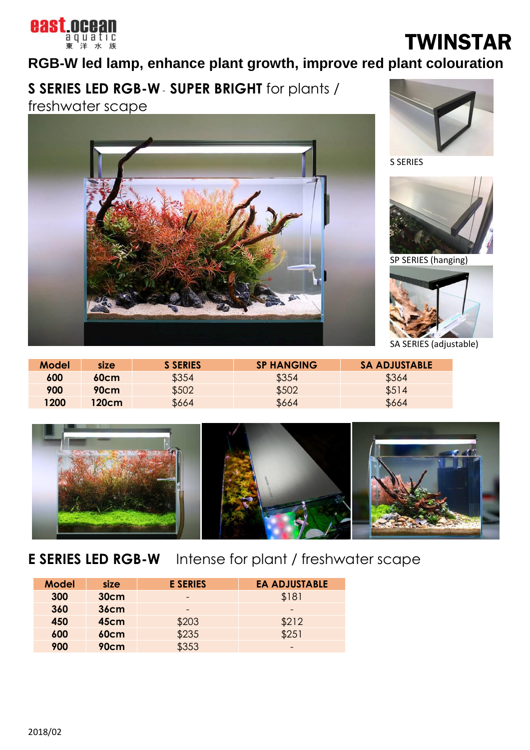

# TWINSTAR

### **RGB-W led lamp, enhance plant growth, improve red plant colouration**

**S SERIES LED RGB-W** *-* **SUPER BRIGHT** for plants /

freshwater scape





S SERIES



SP SERIES (hanging)



SA SERIES (adjustable)

| <b>Model</b> | size  | <b>S SERIES</b> | <b>SP HANGING</b> | <b>SA ADJUSTABLE</b> |
|--------------|-------|-----------------|-------------------|----------------------|
| 600          | 60cm  | \$354           | \$354             | \$364                |
| 900          | 90cm  | \$502           | \$502             | \$514                |
| <b>1200</b>  | 120cm | \$664           | \$664             | \$664                |



**E SERIES LED RGB-W** Intense for plant / freshwater scape

| <b>Model</b> | size        | <b>E SERIES</b> | <b>EA ADJUSTABLE</b> |
|--------------|-------------|-----------------|----------------------|
| 300          | <b>30cm</b> |                 | \$181                |
| 360          | <b>36cm</b> |                 |                      |
| 450          | 45cm        | \$203           | \$212                |
| 600          | <b>60cm</b> | \$235           | \$251                |
| 900          | 90cm        | \$353           | -                    |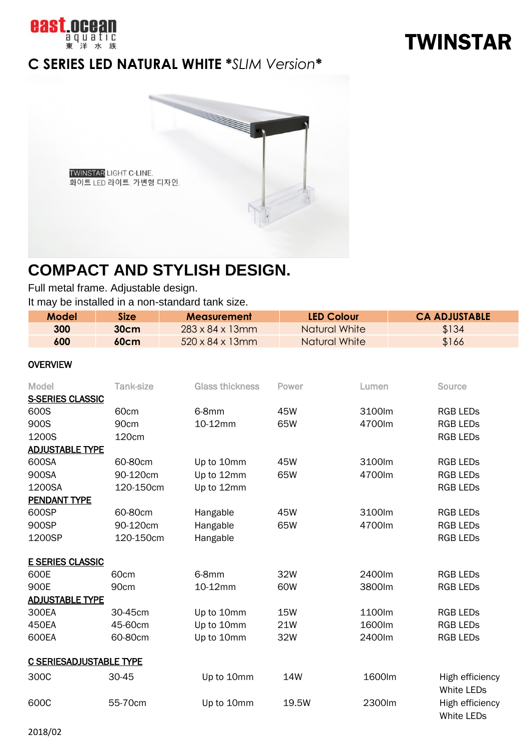

### **C SERIES LED NATURAL WHITE \****SLIM Version***\***



## **COMPACT AND STYLISH DESIGN.**

Full metal frame. Adjustable design.

It may be installed in a non-standard tank size.

| Model | <b>Size</b> | <b>Measurement</b>           | <b>LED Colour</b>    | <b>CA ADJUSTABLE</b> |
|-------|-------------|------------------------------|----------------------|----------------------|
| 300   | 30cm        | $283 \times 84 \times 13$ mm | Natural White        | \$134                |
| 600   | 60cm        | $520 \times 84 \times 13$ mm | <b>Natural White</b> | \$166                |

#### OVERVIEW

| <b>Model</b>                   | <b>Tank-size</b> | <b>Glass thickness</b> | Power      | Lumen  | <b>Source</b>                        |
|--------------------------------|------------------|------------------------|------------|--------|--------------------------------------|
| <b>S-SERIES CLASSIC</b>        |                  |                        |            |        |                                      |
| 600S                           | 60cm             | 6-8mm                  | 45W        | 3100lm | <b>RGB LEDS</b>                      |
| 900S                           | 90cm             | 10-12mm                | 65W        | 4700lm | <b>RGB LEDS</b>                      |
| 1200S                          | 120cm            |                        |            |        | <b>RGB LEDS</b>                      |
| <b>ADJUSTABLE TYPE</b>         |                  |                        |            |        |                                      |
| 600SA                          | 60-80cm          | Up to 10mm             | 45W        | 3100lm | <b>RGB LEDS</b>                      |
| 900SA                          | 90-120cm         | Up to 12mm             | 65W        | 4700lm | <b>RGB LEDS</b>                      |
| 1200SA                         | 120-150cm        | Up to 12mm             |            |        | <b>RGB LEDS</b>                      |
| <b>PENDANT TYPE</b>            |                  |                        |            |        |                                      |
| 600SP                          | 60-80cm          | Hangable               | 45W        | 3100lm | <b>RGB LEDS</b>                      |
| 900SP                          | 90-120cm         | Hangable               | 65W        | 4700lm | <b>RGB LEDS</b>                      |
| 1200SP                         | 120-150cm        | Hangable               |            |        | <b>RGB LEDS</b>                      |
|                                |                  |                        |            |        |                                      |
| <b>E SERIES CLASSIC</b>        |                  |                        |            |        |                                      |
| 600E                           | 60 <sub>cm</sub> | 6-8mm                  | 32W        | 2400lm | <b>RGB LEDS</b>                      |
| 900E                           | 90cm             | 10-12mm                | 60W        | 3800lm | <b>RGB LEDS</b>                      |
| <b>ADJUSTABLE TYPE</b>         |                  |                        |            |        |                                      |
| 300EA                          | 30-45cm          | Up to 10mm             | <b>15W</b> | 1100lm | <b>RGB LEDS</b>                      |
| 450EA                          | 45-60cm          | Up to 10mm             | 21W        | 1600lm | <b>RGB LEDS</b>                      |
| 600EA                          | 60-80cm          | Up to 10mm             | 32W        | 2400lm | <b>RGB LEDS</b>                      |
|                                |                  |                        |            |        |                                      |
| <b>C SERIESADJUSTABLE TYPE</b> |                  |                        |            |        |                                      |
| 300C                           | 30-45            | Up to 10mm             | <b>14W</b> | 1600lm | High efficiency<br><b>White LEDs</b> |
| 600C                           | 55-70cm          | Up to 10mm             | 19.5W      | 2300lm | High efficiency<br><b>White LEDs</b> |

# TWINSTAR